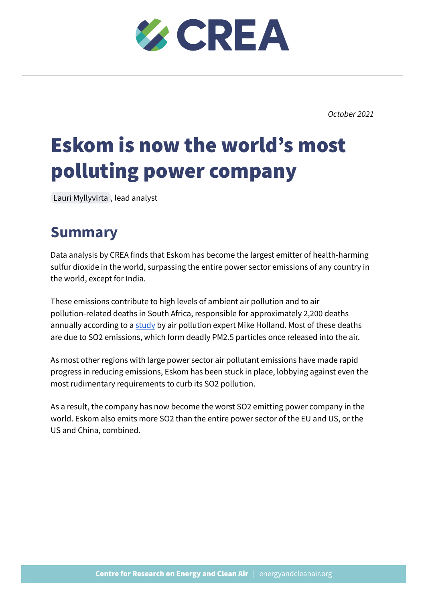

*October 2021*

# Eskom is now the world's most polluting power company

Lauri [Myllyvirta](mailto:lauri@energyandcleanair.org) , lead analyst

## **Summary**

Data analysis by CREA finds that Eskom has become the largest emitter of health-harming sulfur dioxide in the world, surpassing the entire power sector emissions of any country in the world, except for India.

These emissions contribute to high levels of ambient air pollution and to air pollution-related deaths in South Africa, responsible for approximately 2,200 deaths annually according to a [study](https://cer.org.za/wp-content/uploads/2017/04/Annexure-Health-impacts-of-coal-fired-generation-in-South-Africa-310317.pdf) by air pollution expert Mike Holland. Most of these deaths are due to SO2 emissions, which form deadly PM2.5 particles once released into the air.

As most other regions with large power sector air pollutant emissions have made rapid progress in reducing emissions, Eskom has been stuck in place, lobbying against even the most rudimentary requirements to curb its SO2 pollution.

As a result, the company has now become the worst SO2 emitting power company in the world. Eskom also emits more SO2 than the entire power sector of the EU and US, or the US and China, combined.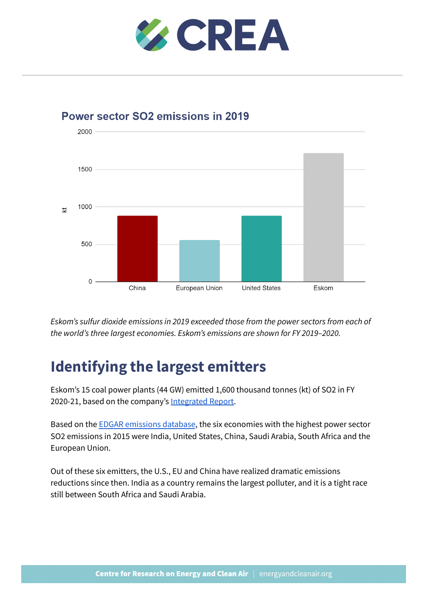



Power sector SO2 emissions in 2019

*Eskom's sulfur dioxide emissions in 2019 exceeded those from the power sectors from each of the world's three largest economies. Eskom's emissions are shown for FY 2019–2020.*

## **Identifying the largest emitters**

Eskom's 15 coal power plants (44 GW) emitted 1,600 thousand tonnes (kt) of SO2 in FY 2020-21, based on the company's [Integrated](https://www.eskom.co.za/IR2021/Pages/default.aspx) Report.

Based on the EDGAR [emissions](https://edgar.jrc.ec.europa.eu/dataset_ap50) database, the six economies with the highest power sector SO2 emissions in 2015 were India, United States, China, Saudi Arabia, South Africa and the European Union.

Out of these six emitters, the U.S., EU and China have realized dramatic emissions reductions since then. India as a country remains the largest polluter, and it is a tight race still between South Africa and Saudi Arabia.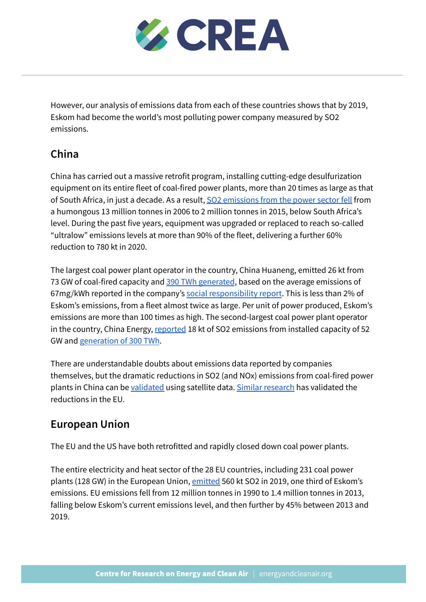

However, our analysis of emissions data from each of these countries shows that by 2019, Eskom had become the world's most polluting power company measured by SO2 emissions.

### **China**

China has carried out a massive retrofit program, installing cutting-edge desulfurization equipment on its entire fleet of coal-fired power plants, more than 20 times as large as that of South Africa, in just a decade. As a result, SO2 [emissions](https://www.cec.org.cn/detail/index.html?3-284218) from the power sector fell from a humongous 13 million tonnes in 2006 to 2 million tonnes in 2015, below South Africa's level. During the past five years, equipment was upgraded or replaced to reach so-called "ultralow" emissions levels at more than 90% of the fleet, delivering a further 60% reduction to 780 kt in 2020.

The largest coal power plant operator in the country, China Huaneng, emitted 26 kt from 73 GW of coal-fired capacity and 390 TWh [generated](http://www.sse.com.cn/disclosure/listedinfo/announcement/c/2021-03-24/600011_20210324_2.pdf), based on the average emissions of 67mg/kWh reported in the company's social [responsibility](http://www.sse.com.cn/disclosure/listedinfo/announcement/c/2021-03-24/600011_20210324_2.pdf) report. This is less than 2% of Eskom's emissions, from a fleet almost twice as large. Per unit of power produced, Eskom's emissions are more than 100 times as high. The second-largest coal power plant operator in the country, China Energy, [reported](http://www.sse.com.cn/disclosure/listedinfo/announcement/c/2020-04-14/600795_20200414_30.pdf) 18 kt of SO2 emissions from installed capacity of 52 GW and [generation](http://www.sse.com.cn/disclosure/listedinfo/announcement/c/2020-04-14/600795_20200414_30.pdf) of 300 TWh.

There are understandable doubts about emissions data reported by companies themselves, but the dramatic reductions in SO2 (and NOx) emissions from coal-fired power plants in China can be [validated](https://www.sciencedirect.com/science/article/pii/S1309104220300908) using satellite data. Similar [research](https://www.ncbi.nlm.nih.gov/pmc/articles/PMC7277226/) has validated the reductions in the EU.

#### **European Union**

The EU and the US have both retrofitted and rapidly closed down coal power plants.

The entire electricity and heat sector of the 28 EU countries, including 231 coal power plants (128 GW) in the European Union, [emitted](https://www.eea.europa.eu/data-and-maps/dashboards/air-pollutant-emissions-data-viewer-4) 560 kt SO2 in 2019, one third of Eskom's emissions. EU emissions fell from 12 million tonnes in 1990 to 1.4 million tonnes in 2013, falling below Eskom's current emissions level, and then further by 45% between 2013 and 2019.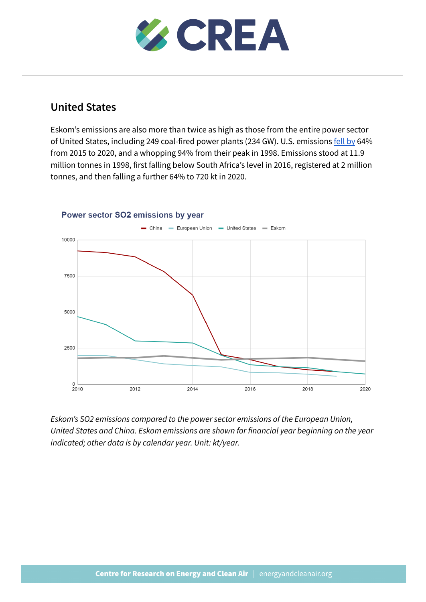

#### **United States**

Eskom's emissions are also more than twice as high as those from the entire power sector of United States, including 249 coal-fired power plants (234 GW). U.S. emissions [fell](https://www.epa.gov/airmarkets/power-plant-emission-trends) by 64% from 2015 to 2020, and a whopping 94% from their peak in 1998. Emissions stood at 11.9 million tonnes in 1998, first falling below South Africa's level in 2016, registered at 2 million tonnes, and then falling a further 64% to 720 kt in 2020.



#### Power sector SO2 emissions by year

*Eskom's SO2 emissions compared to the power sector emissions of the European Union, United States and China. Eskom emissions are shown for financial year beginning on the year indicated; other data is by calendar year. Unit: kt/year.*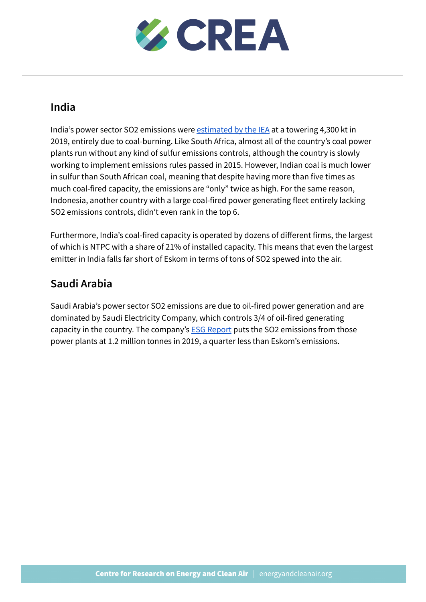

#### **India**

India's power sector SO2 emissions were [estimated](https://www.iea.org/data-and-statistics/charts/emissions-of-so2-nox-and-pm2-5-from-the-indian-power-sector-in-the-stated-policies-scenario-2019-2040) by the IEA at a towering 4,300 kt in 2019, entirely due to coal-burning. Like South Africa, almost all of the country's coal power plants run without any kind of sulfur emissions controls, although the country is slowly working to implement emissions rules passed in 2015. However, Indian coal is much lower in sulfur than South African coal, meaning that despite having more than five times as much coal-fired capacity, the emissions are "only" twice as high. For the same reason, Indonesia, another country with a large coal-fired power generating fleet entirely lacking SO2 emissions controls, didn't even rank in the top 6.

Furthermore, India's coal-fired capacity is operated by dozens of different firms, the largest of which is NTPC with a share of 21% of installed capacity. This means that even the largest emitter in India falls far short of Eskom in terms of tons of SO2 spewed into the air.

#### **Saudi Arabia**

Saudi Arabia's power sector SO2 emissions are due to oil-fired power generation and are dominated by Saudi Electricity Company, which controls 3/4 of oil-fired generating capacity in the country. The company's **ESG [Report](https://www.se.com.sa/ar-sa/Document%20Library/ESG_English_SEP.pdf)** puts the SO2 emissions from those power plants at 1.2 million tonnes in 2019, a quarter less than Eskom's emissions.